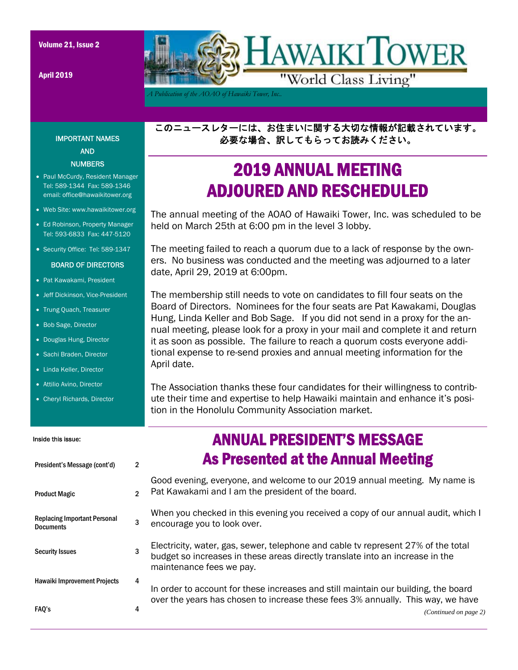April 2019



*A Publication of the AOAO of Hawaiki Tower, Inc..* 

このニュースレターには、お住まいに関する大切な情報が記載されています。 必要な場合、訳してもらってお読みください。

### 2019 ANNUAL MEETING ADJOURED AND RESCHEDULED

The annual meeting of the AOAO of Hawaiki Tower, Inc. was scheduled to be held on March 25th at 6:00 pm in the level 3 lobby.

The meeting failed to reach a quorum due to a lack of response by the owners. No business was conducted and the meeting was adjourned to a later date, April 29, 2019 at 6:00pm.

The membership still needs to vote on candidates to fill four seats on the Board of Directors. Nominees for the four seats are Pat Kawakami, Douglas Hung, Linda Keller and Bob Sage. If you did not send in a proxy for the annual meeting, please look for a proxy in your mail and complete it and return it as soon as possible. The failure to reach a quorum costs everyone additional expense to re-send proxies and annual meeting information for the April date.

The Association thanks these four candidates for their willingness to contribute their time and expertise to help Hawaiki maintain and enhance it's position in the Honolulu Community Association market.

| Inside this issue:                                      |                | <b>ANNUAL PRESIDENT'S MESSAGE</b>                                                                                                                                                              |
|---------------------------------------------------------|----------------|------------------------------------------------------------------------------------------------------------------------------------------------------------------------------------------------|
| President's Message (cont'd)                            | $\mathbf{2}$   | <b>As Presented at the Annual Meeting</b>                                                                                                                                                      |
| <b>Product Magic</b>                                    | $\mathfrak{p}$ | Good evening, everyone, and welcome to our 2019 annual meeting. My name is<br>Pat Kawakami and I am the president of the board.                                                                |
| <b>Replacing Important Personal</b><br><b>Documents</b> | 3              | When you checked in this evening you received a copy of our annual audit, which I<br>encourage you to look over.                                                                               |
| <b>Security Issues</b>                                  | 3              | Electricity, water, gas, sewer, telephone and cable tv represent 27% of the total<br>budget so increases in these areas directly translate into an increase in the<br>maintenance fees we pay. |
| <b>Hawaiki Improvement Projects</b>                     | 4              | In order to account for these increases and still maintain our building, the board<br>over the years has chosen to increase these fees 3% annually. This way, we have                          |
| FAO's                                                   | 4              | (Continued on page 2)                                                                                                                                                                          |

### IMPORTANT NAMES AND NUMBERS

- Paul McCurdy, Resident Manager Tel: 589-1344 Fax: 589-1346 email: office@hawaikitower.org
- Web Site: www.hawaikitower.org
- Ed Robinson, Property Manager Tel: 593-6833 Fax: 447-5120
- Security Office: Tel: 589-1347

#### BOARD OF DIRECTORS

- Pat Kawakami, President
- Jeff Dickinson, Vice-President
- Trung Quach, Treasurer
- Bob Sage, Director
- Douglas Hung, Director
- Sachi Braden, Director
- Linda Keller, Director
- Attilio Avino, Director
- Cheryl Richards, Director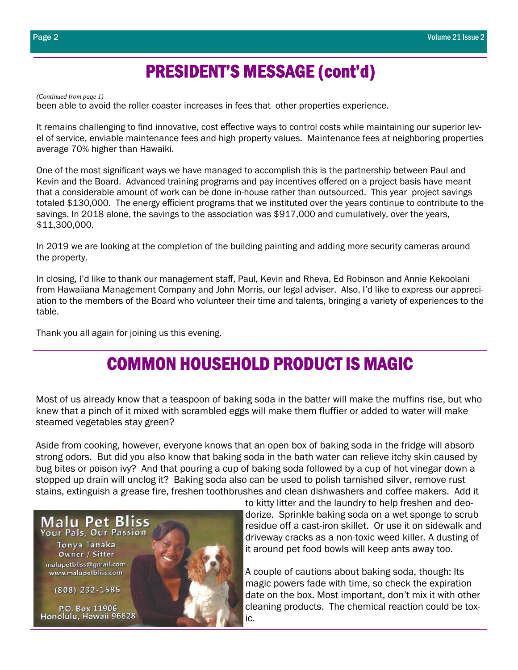### PRESIDENT'S MESSAGE (cont'd)

*(Continued from page 1)* 

been able to avoid the roller coaster increases in fees that other properties experience.

It remains challenging to find innovative, cost effective ways to control costs while maintaining our superior level of service, enviable maintenance fees and high property values. Maintenance fees at neighboring properties average 70% higher than Hawaiki.

One of the most significant ways we have managed to accomplish this is the partnership between Paul and Kevin and the Board. Advanced training programs and pay incentives offered on a project basis have meant that a considerable amount of work can be done in-house rather than outsourced. This year project savings totaled \$130,000. The energy efficient programs that we instituted over the years continue to contribute to the savings. In 2018 alone, the savings to the association was \$917,000 and cumulatively, over the years, \$11,300,000.

In 2019 we are looking at the completion of the building painting and adding more security cameras around the property.

In closing, I'd like to thank our management staff, Paul, Kevin and Rheva, Ed Robinson and Annie Kekoolani from Hawaiiana Management Company and John Morris, our legal adviser. Also, I'd like to express our appreciation to the members of the Board who volunteer their time and talents, bringing a variety of experiences to the table.

Thank you all again for joining us this evening.

### COMMON HOUSEHOLD PRODUCT IS MAGIC

Most of us already know that a teaspoon of baking soda in the batter will make the muffins rise, but who knew that a pinch of it mixed with scrambled eggs will make them fluffier or added to water will make steamed vegetables stay green?

Aside from cooking, however, everyone knows that an open box of baking soda in the fridge will absorb strong odors. But did you also know that baking soda in the bath water can relieve itchy skin caused by bug bites or poison ivy? And that pouring a cup of baking soda followed by a cup of hot vinegar down a stopped up drain will unclog it? Baking soda also can be used to polish tarnished silver, remove rust stains, extinguish a grease fire, freshen toothbrushes and clean dishwashers and coffee makers. Add it



to kitty litter and the laundry to help freshen and deodorize. Sprinkle baking soda on a wet sponge to scrub residue off a cast-iron skillet. Or use it on sidewalk and driveway cracks as a non-toxic weed killer. A dusting of it around pet food bowls will keep ants away too.

A couple of cautions about baking soda, though: Its magic powers fade with time, so check the expiration date on the box. Most important, don't mix it with other cleaning products. The chemical reaction could be toxic.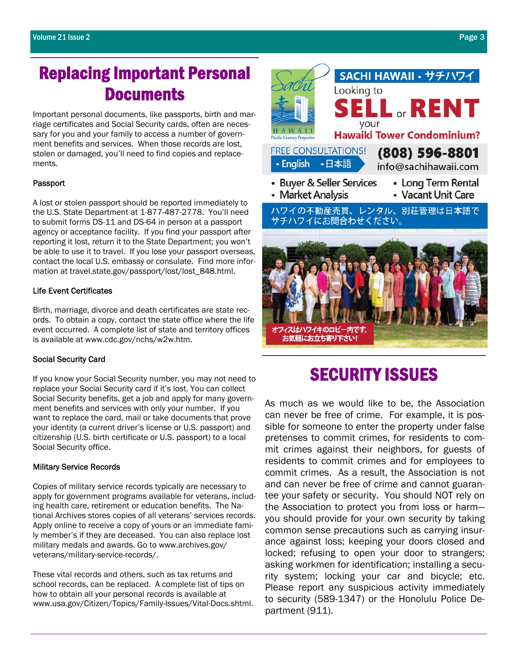### Replacing Important Personal **Documents**

Important personal documents, like passports, birth and marriage certificates and Social Security cards, often are necessary for you and your family to access a number of government benefits and services. When those records are lost, stolen or damaged, you'll need to find copies and replacements.

#### Passport

A lost or stolen passport should be reported immediately to the U.S. State Department at 1-877-487-2778. You'll need to submit forms DS-11 and DS-64 in person at a passport agency or acceptance facility. If you find your passport after reporting it lost, return it to the State Department; you won't be able to use it to travel. If you lose your passport overseas, contact the local U.S. embassy or consulate. Find more information at travel.state.gov/passport/lost/lost\_848.html.

#### Life Event Certificates

Birth, marriage, divorce and death certificates are state records. To obtain a copy, contact the state office where the life event occurred. A complete list of state and territory offices is available at www.cdc.gov/nchs/w2w.htm.

#### Social Security Card

If you know your Social Security number, you may not need to replace your Social Security card if it's lost. You can collect Social Security benefits, get a job and apply for many government benefits and services with only your number. If you want to replace the card, mail or take documents that prove your identity (a current driver's license or U.S. passport) and citizenship (U.S. birth certificate or U.S. passport) to a local Social Security office.

#### Military Service Records

Copies of military service records typically are necessary to apply for government programs available for veterans, including health care, retirement or education benefits. The National Archives stores copies of all veterans' services records. Apply online to receive a copy of yours or an immediate family member's if they are deceased. You can also replace lost military medals and awards. Go to www.archives.gov/ veterans/military-service-records/.

These vital records and others, such as tax returns and school records, can be replaced. A complete list of tips on how to obtain all your personal records is available at www.usa.gov/Citizen/Topics/Family-Issues/Vital-Docs.shtml.



### SECURITY ISSUES

As much as we would like to be, the Association can never be free of crime. For example, it is possible for someone to enter the property under false pretenses to commit crimes, for residents to commit crimes against their neighbors, for guests of residents to commit crimes and for employees to commit crimes. As a result, the Association is not and can never be free of crime and cannot guarantee your safety or security. You should NOT rely on the Association to protect you from loss or harm you should provide for your own security by taking common sense precautions such as carrying insurance against loss; keeping your doors closed and locked; refusing to open your door to strangers; asking workmen for identification; installing a security system; locking your car and bicycle; etc. Please report any suspicious activity immediately to security (589-1347) or the Honolulu Police Department (911).